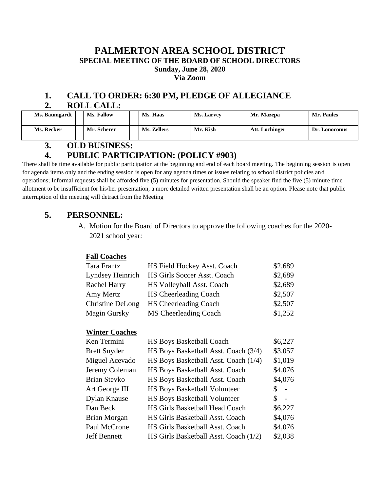## **PALMERTON AREA SCHOOL DISTRICT SPECIAL MEETING OF THE BOARD OF SCHOOL DIRECTORS Sunday, June 28, 2020 Via Zoom**

## **1. CALL TO ORDER: 6:30 PM, PLEDGE OF ALLEGIANCE 2. ROLL CALL:**

| Ms. Baumgardt | Ms. Fallow  | Ms. Haas    | <b>Ms. Larvey</b> | Mr. Mazepa     | Mr. Paules    |
|---------------|-------------|-------------|-------------------|----------------|---------------|
| Ms. Recker    | Mr. Scherer | Ms. Zellers | Mr. Kish          | Att. Lochinger | Dr. Lonoconus |

## **3. OLD BUSINESS:**

## **4. PUBLIC PARTICIPATION: (POLICY #903)**

There shall be time available for public participation at the beginning and end of each board meeting. The beginning session is open for agenda items only and the ending session is open for any agenda times or issues relating to school district policies and operations; Informal requests shall be afforded five (5) minutes for presentation. Should the speaker find the five (5) minute time allotment to be insufficient for his/her presentation, a more detailed written presentation shall be an option. Please note that public interruption of the meeting will detract from the Meeting

## **5. PERSONNEL:**

A. Motion for the Board of Directors to approve the following coaches for the 2020- 2021 school year:

#### **Fall Coaches**

| Tara Frantz         | HS Field Hockey Asst. Coach  | \$2,689 |
|---------------------|------------------------------|---------|
| Lyndsey Heinrich    | HS Girls Soccer Asst. Coach  | \$2,689 |
| <b>Rachel Harry</b> | HS Volleyball Asst. Coach    | \$2,689 |
| Amy Mertz           | <b>HS Cheerleading Coach</b> | \$2,507 |
| Christine DeLong    | <b>HS Cheerleading Coach</b> | \$2,507 |
| Magin Gursky        | MS Cheerleading Coach        | \$1,252 |

#### **Winter Coaches**

| Ken Termini         | <b>HS Boys Basketball Coach</b>       | \$6,227      |
|---------------------|---------------------------------------|--------------|
| <b>Brett Snyder</b> | HS Boys Basketball Asst. Coach (3/4)  | \$3,057      |
| Miguel Acevado      | HS Boys Basketball Asst. Coach (1/4)  | \$1,019      |
| Jeremy Coleman      | HS Boys Basketball Asst. Coach        | \$4,076      |
| <b>Brian Stevko</b> | HS Boys Basketball Asst. Coach        | \$4,076      |
| Art George III      | <b>HS Boys Basketball Volunteer</b>   | S.<br>$\sim$ |
| Dylan Knause        | <b>HS Boys Basketball Volunteer</b>   | S.<br>$\sim$ |
| Dan Beck            | HS Girls Basketball Head Coach        | \$6,227      |
| <b>Brian Morgan</b> | HS Girls Basketball Asst. Coach       | \$4,076      |
| Paul McCrone        | HS Girls Basketball Asst. Coach       | \$4,076      |
| <b>Jeff Bennett</b> | HS Girls Basketball Asst. Coach (1/2) | \$2,038      |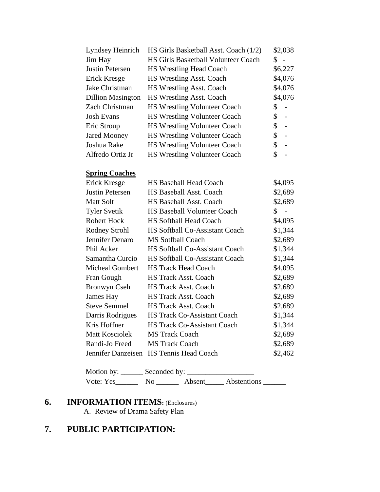| Lyndsey Heinrich         | HS Girls Basketball Asst. Coach (1/2)      | \$2,038                        |  |
|--------------------------|--------------------------------------------|--------------------------------|--|
| Jim Hay                  | <b>HS Girls Basketball Volunteer Coach</b> | \$<br>$\overline{\phantom{0}}$ |  |
| Justin Petersen          | <b>HS Wrestling Head Coach</b>             | \$6,227                        |  |
| Erick Kresge             | HS Wrestling Asst. Coach                   | \$4,076                        |  |
| Jake Christman           | <b>HS Wrestling Asst. Coach</b>            | \$4,076                        |  |
| <b>Dillion Masington</b> | HS Wrestling Asst. Coach                   | \$4,076                        |  |
| Zach Christman           | <b>HS Wrestling Volunteer Coach</b>        |                                |  |
| <b>Josh Evans</b>        | <b>HS Wrestling Volunteer Coach</b>        | \$<br>$\sim$                   |  |
| Eric Stroup              | <b>HS Wrestling Volunteer Coach</b>        | \$<br>$\sim$                   |  |
| <b>Jared Mooney</b>      | <b>HS Wrestling Volunteer Coach</b>        | \$<br>$\overline{a}$           |  |
| Joshua Rake              | <b>HS Wrestling Volunteer Coach</b>        | \$<br>$\overline{a}$           |  |
| Alfredo Ortiz Jr         | <b>HS Wrestling Volunteer Coach</b>        |                                |  |

## **Spring Coaches**

| Erick Kresge           | <b>HS Baseball Head Coach</b>         | \$4,095      |
|------------------------|---------------------------------------|--------------|
| Justin Petersen        | <b>HS Baseball Asst. Coach</b>        | \$2,689      |
| Matt Solt              | <b>HS Baseball Asst. Coach</b>        | \$2,689      |
| Tyler Svetik           | <b>HS Baseball Volunteer Coach</b>    | $\uparrow$ - |
| Robert Hock            | <b>HS Softball Head Coach</b>         | \$4,095      |
| Rodney Strohl          | <b>HS Softball Co-Assistant Coach</b> | \$1,344      |
| Jennifer Denaro        | <b>MS Sotfball Coach</b>              | \$2,689      |
| Phil Acker             | <b>HS Softball Co-Assistant Coach</b> | \$1,344      |
| Samantha Curcio        | <b>HS Softball Co-Assistant Coach</b> | \$1,344      |
| <b>Micheal Gombert</b> | <b>HS Track Head Coach</b>            | \$4,095      |
| Fran Gough             | <b>HS Track Asst. Coach</b>           | \$2,689      |
| Bronwyn Cseh           | <b>HS Track Asst. Coach</b>           | \$2,689      |
| James Hay              | <b>HS Track Asst. Coach</b>           | \$2,689      |
| Steve Semmel           | <b>HS Track Asst. Coach</b>           | \$2,689      |
| Darris Rodrigues       | <b>HS Track Co-Assistant Coach</b>    | \$1,344      |
| Kris Hoffner           | <b>HS Track Co-Assistant Coach</b>    | \$1,344      |
| Matt Kosciolek         | <b>MS Track Coach</b>                 | \$2,689      |
| Randi-Jo Freed         | <b>MS Track Coach</b>                 | \$2,689      |
| Jennifer Danzeisen     | <b>HS Tennis Head Coach</b>           | \$2,462      |

| Motion by: | Seconded by: |        |                    |  |
|------------|--------------|--------|--------------------|--|
| Vote: Yes  | Nο           | Absent | <b>Abstentions</b> |  |

# **6. INFORMATION ITEMS:** (Enclosures)

A. Review of Drama Safety Plan

# **7. PUBLIC PARTICIPATION:**